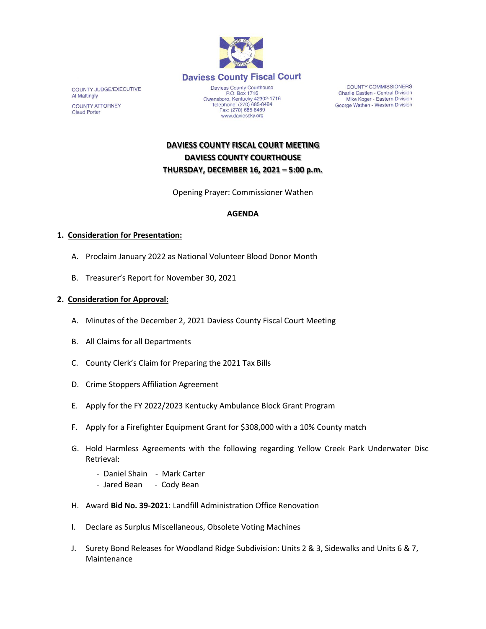

COUNTY JUDGE/EXECUTIVE Al Mattingly **COUNTY ATTORNEY Claud Porter** 

P.O. Box 1716<br>
Owensboro, Kentucky 42302-1716<br>
Telephone: (270) 685-8424 Fax: (270) 685-8469 www.daviessky.org

**COUNTY COMMISSIONERS** Charlie Castlen - Central Division<br>Mike Koger - Eastern Division George Wathen - Western Division

# **DAVIESS COUNTY FISCAL COURT MEETING DAVIESS COUNTY COURTHOUSE THURSDAY, DECEMBER 16, 2021 – 5:00 p.m.**

Opening Prayer: Commissioner Wathen

### **AGENDA**

#### **1. Consideration for Presentation:**

- A. Proclaim January 2022 as National Volunteer Blood Donor Month
- B. Treasurer's Report for November 30, 2021

### **2. Consideration for Approval:**

- A. Minutes of the December 2, 2021 Daviess County Fiscal Court Meeting
- B. All Claims for all Departments
- C. County Clerk's Claim for Preparing the 2021 Tax Bills
- D. Crime Stoppers Affiliation Agreement
- E. Apply for the FY 2022/2023 Kentucky Ambulance Block Grant Program
- F. Apply for a Firefighter Equipment Grant for \$308,000 with a 10% County match
- G. Hold Harmless Agreements with the following regarding Yellow Creek Park Underwater Disc Retrieval:
	- Daniel Shain Mark Carter
	- Jared Bean Cody Bean
- H. Award **Bid No. 39-2021**: Landfill Administration Office Renovation
- I. Declare as Surplus Miscellaneous, Obsolete Voting Machines
- J. Surety Bond Releases for Woodland Ridge Subdivision: Units 2 & 3, Sidewalks and Units 6 & 7, Maintenance